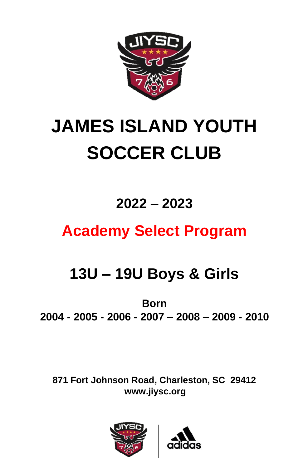

# **JAMES ISLAND YOUTH SOCCER CLUB**

### **2022 – 2023**

## **Academy Select Program**

## **13U – 19U Boys & Girls**

**Born 2004 - 2005 - 2006 - 2007 – 2008 – 2009 - 2010**

**871 Fort Johnson Road, Charleston, SC 29412 www.jiysc.org**



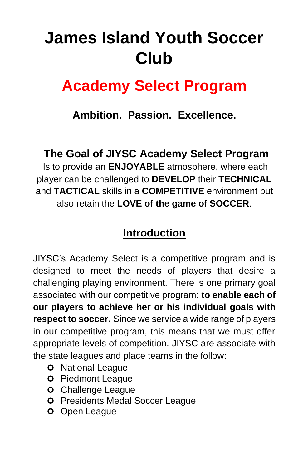## **James Island Youth Soccer Club**

## **Academy Select Program**

### **Ambition. Passion. Excellence.**

### **The Goal of JIYSC Academy Select Program**

Is to provide an **ENJOYABLE** atmosphere, where each player can be challenged to **DEVELOP** their **TECHNICAL** and **TACTICAL** skills in a **COMPETITIVE** environment but also retain the **LOVE of the game of SOCCER**.

### **Introduction**

JIYSC's Academy Select is a competitive program and is designed to meet the needs of players that desire a challenging playing environment. There is one primary goal associated with our competitive program: **to enable each of our players to achieve her or his individual goals with respect to soccer.** Since we service a wide range of players in our competitive program, this means that we must offer appropriate levels of competition. JIYSC are associate with the state leagues and place teams in the follow:

- **O** National League
- **O** Piedmont League
- **O** Challenge League
- **O** Presidents Medal Soccer League
- **O** Open League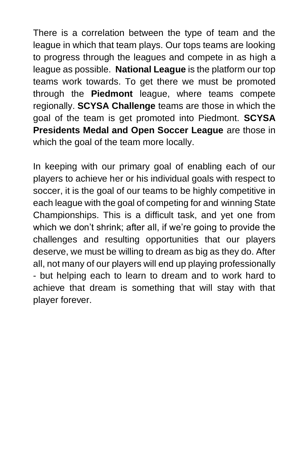There is a correlation between the type of team and the league in which that team plays. Our tops teams are looking to progress through the leagues and compete in as high a league as possible. **National League** is the platform our top teams work towards. To get there we must be promoted through the **Piedmont** league, where teams compete regionally. **SCYSA Challenge** teams are those in which the goal of the team is get promoted into Piedmont. **SCYSA Presidents Medal and Open Soccer League** are those in which the goal of the team more locally.

In keeping with our primary goal of enabling each of our players to achieve her or his individual goals with respect to soccer, it is the goal of our teams to be highly competitive in each league with the goal of competing for and winning State Championships. This is a difficult task, and yet one from which we don't shrink; after all, if we're going to provide the challenges and resulting opportunities that our players deserve, we must be willing to dream as big as they do. After all, not many of our players will end up playing professionally - but helping each to learn to dream and to work hard to achieve that dream is something that will stay with that player forever.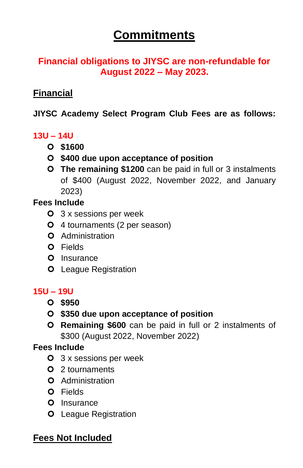### **Commitments**

#### **Financial obligations to JIYSC are non-refundable for August 2022 – May 2023.**

#### **Financial**

#### **JIYSC Academy Select Program Club Fees are as follows:**

#### **13U – 14U**

- **\$1600**
- **\$400 due upon acceptance of position**
- **The remaining \$1200** can be paid in full or 3 instalments of \$400 (August 2022, November 2022, and January 2023)

#### **Fees Include**

- 3 x sessions per week
- 4 tournaments (2 per season)
- **O** Administration
- Fields
- **O** Insurance
- **O** League Registration

#### **15U – 19U**

- **\$950**
- **\$350 due upon acceptance of position**
- **Remaining \$600** can be paid in full or 2 instalments of \$300 (August 2022, November 2022)

#### **Fees Include**

- 3 x sessions per week
- 2 tournaments
- **O** Administration
- O Fields
- O Insurance
- **O** League Registration

#### **Fees Not Included**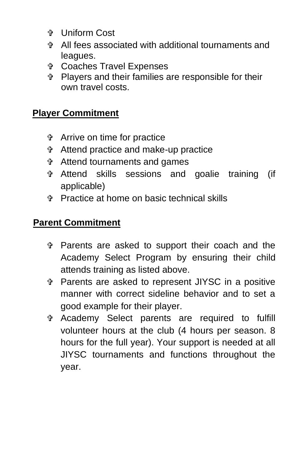- Uniform Cost
- All fees associated with additional tournaments and leagues.
- Coaches Travel Expenses
- Players and their families are responsible for their own travel costs.

#### **Player Commitment**

- Arrive on time for practice
- Attend practice and make-up practice
- Attend tournaments and games
- Attend skills sessions and goalie training (if applicable)
- Practice at home on basic technical skills

#### **Parent Commitment**

- Parents are asked to support their coach and the Academy Select Program by ensuring their child attends training as listed above.
- Parents are asked to represent JIYSC in a positive manner with correct sideline behavior and to set a good example for their player.
- Academy Select parents are required to fulfill volunteer hours at the club (4 hours per season. 8 hours for the full year). Your support is needed at all JIYSC tournaments and functions throughout the year.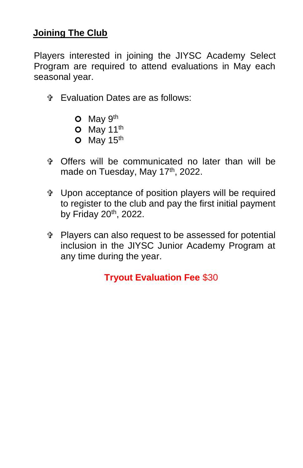#### **Joining The Club**

Players interested in joining the JIYSC Academy Select Program are required to attend evaluations in May each seasonal year.

- Evaluation Dates are as follows:
	- $O$  May  $9<sup>th</sup>$
	- $O$  May 11<sup>th</sup>
	- $O$  May 15<sup>th</sup>
- Offers will be communicated no later than will be made on Tuesday, May 17<sup>th</sup>, 2022.
- Upon acceptance of position players will be required to register to the club and pay the first initial payment by Friday 20<sup>th</sup>, 2022.
- Players can also request to be assessed for potential inclusion in the JIYSC Junior Academy Program at any time during the year.

**Tryout Evaluation Fee** \$30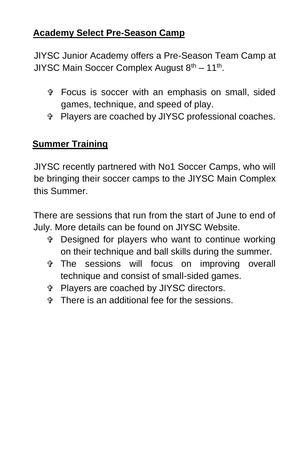#### **Academy Select Pre-Season Camp**

JIYSC Junior Academy offers a Pre-Season Team Camp at JIYSC Main Soccer Complex August 8<sup>th</sup> – 11<sup>th</sup>.

- Focus is soccer with an emphasis on small, sided games, technique, and speed of play.
- Players are coached by JIYSC professional coaches.

#### **Summer Training**

JIYSC recently partnered with No1 Soccer Camps, who will be bringing their soccer camps to the JIYSC Main Complex this Summer.

There are sessions that run from the start of June to end of July. More details can be found on JIYSC Website.

- Designed for players who want to continue working on their technique and ball skills during the summer.
- The sessions will focus on improving overall technique and consist of small-sided games.
- Players are coached by JIYSC directors.
- There is an additional fee for the sessions.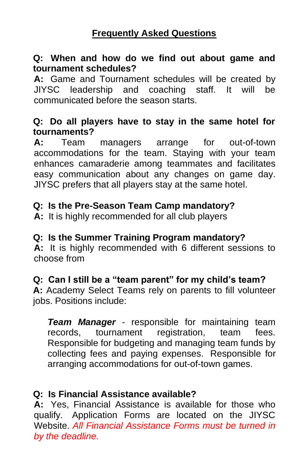#### **Q: When and how do we find out about game and tournament schedules?**

**A:** Game and Tournament schedules will be created by JIYSC leadership and coaching staff. It will be communicated before the season starts.

#### **Q: Do all players have to stay in the same hotel for tournaments?**

**A:** Team managers arrange for out-of-town accommodations for the team. Staying with your team enhances camaraderie among teammates and facilitates easy communication about any changes on game day. JIYSC prefers that all players stay at the same hotel.

#### **Q: Is the Pre-Season Team Camp mandatory?**

**A:** It is highly recommended for all club players

#### **Q: Is the Summer Training Program mandatory?**

**A:** It is highly recommended with 6 different sessions to choose from

#### **Q: Can I still be a "team parent" for my child's team?**

**A:** Academy Select Teams rely on parents to fill volunteer jobs. Positions include:

*Team Manager* - responsible for maintaining team records, tournament registration, team fees. Responsible for budgeting and managing team funds by collecting fees and paying expenses. Responsible for arranging accommodations for out-of-town games.

#### **Q: Is Financial Assistance available?**

**A:** Yes, Financial Assistance is available for those who qualify. Application Forms are located on the JIYSC Website. *All Financial Assistance Forms must be turned in by the deadline.*